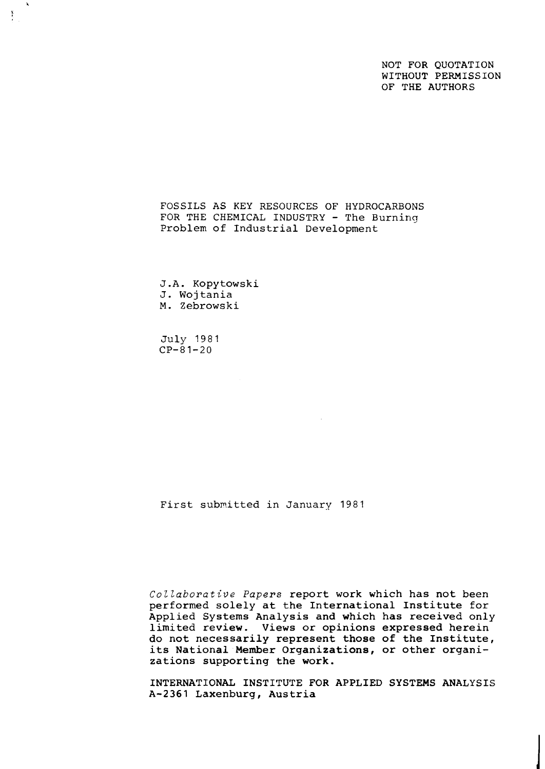NOT FOR QUOTATION WITHOUT PERMISSION OF THE AUTHORS

FOSSILS AS KEY RESOURCES OF HYDROCARBONS FOR THE CHEMICAL INDUSTRY - The Burning Problem of Industrial Development

J.A. Kopytowski J. Wojtania M. Zebrowski

July 1981  $CP - 81 - 20$ 

 $\mathbf{x}$ 

 $\sum_{i=1}^{N}$ 

First submitted in January <sup>1981</sup>

*Collaborative Papers* report work which has not been performed solely at the International Institute for Applied Systems Analysis and which has received only limited review. Views or opinions expressed herein do not necessarily represent those of the Institute, its National Member Organizations, or other organizations supporting the work.

INTERNATIONAL INSTITUTE FOR APPLIED SYSTEMS ANALYSIS A-2361 Laxenburg, Austria

j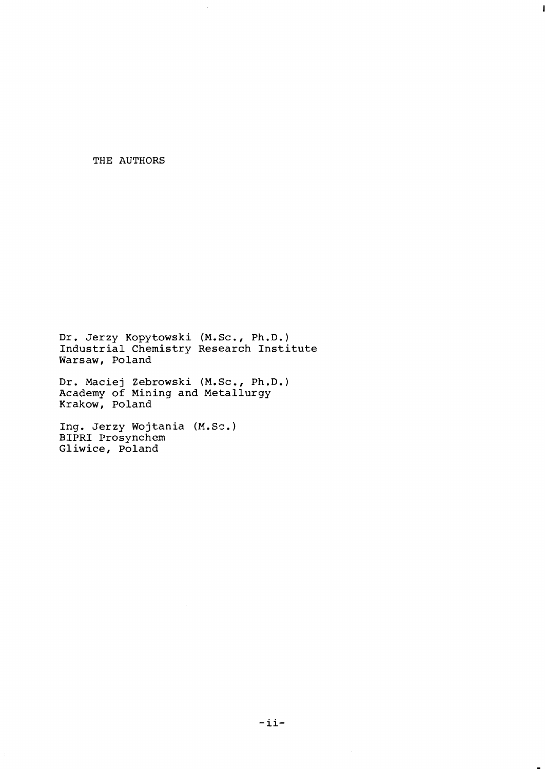THE AUTHORS

Dr. Jerzy Kopytowski (M.Sc., Ph.D.) Industrial Chemistry Research Institute Warsaw, Poland

Dr. Maciej Zebrowski (M.Sc., Ph.D.) Academy of Mining and Metallurgy Krakow, Poland

Ing. Jerzy Wojtania (M.Sc.) BIPRI Prosynchem Gliwice, Poland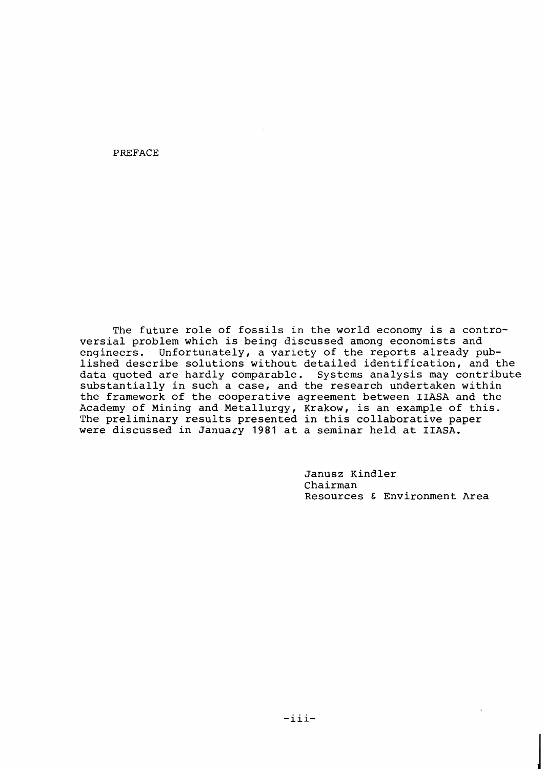PREFACE

The future role of fossils in the world economy is a controversial problem which is being discussed among economists and<br>engineers. Unfortunately, a variety of the reports already pu Unfortunately, a variety of the reports already published describe solutions without detailed identification, and the data quoted are hardly comparable. Systems analysis may contribute substantially in such a case, and the research undertaken within the framework of the cooperative agreement between IIASA and the Academy of Mining and Metallurgy, Krakow, is an example of this. The preliminary results presented in this collaborative paper were discussed in January **<sup>1981</sup>** at <sup>a</sup> seminar held at IIASA.

> Janusz Kindler Chairman Resources & Environment Area

> > j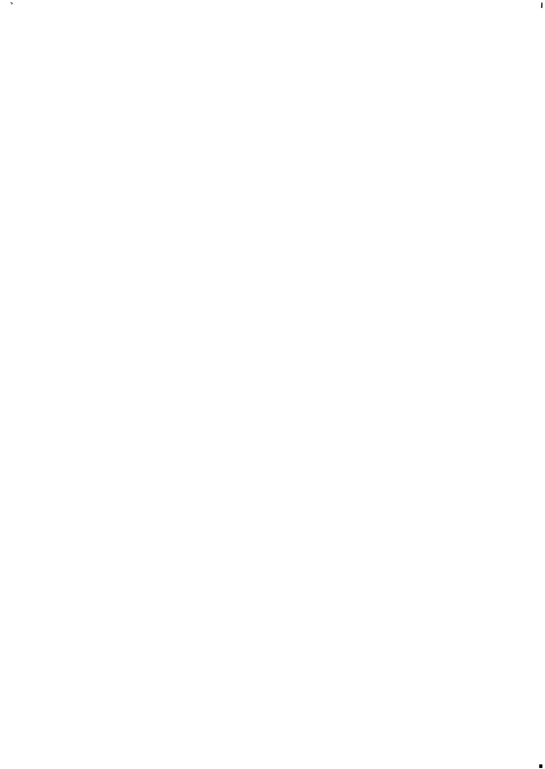$\mathbf{I}$ 

 $\overline{\phantom{a}}$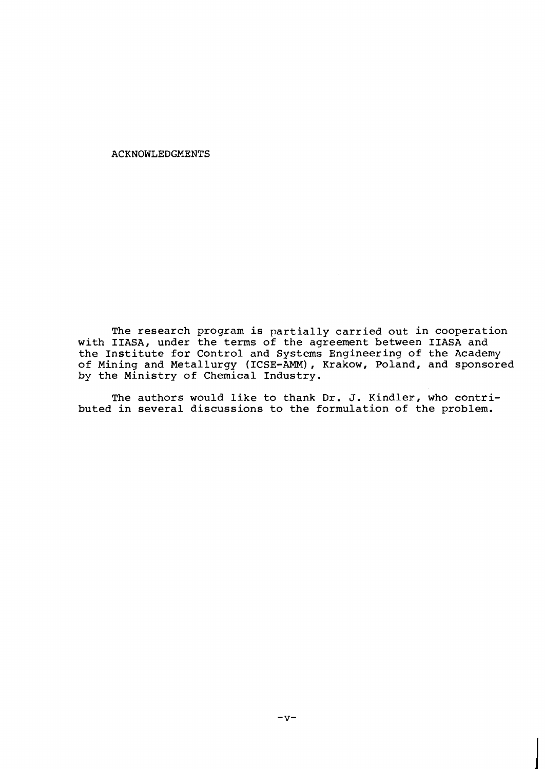ACKNOWLEDGMENTS

The research program is partially carried out in cooperation with IIASA, under the terms of the agreement between IIASA and the Institute for Control and Systems Engineering of the Academy of Mining and Metallurgy (ICSE-AMM), Krakow, Poland, and sponsored by the Ministry of Chemical Industry.

The authors would like to thank Dr. J. Kindler, who contributed in several discussions to the formulation of the problem.

 $\overline{\mathsf{I}}$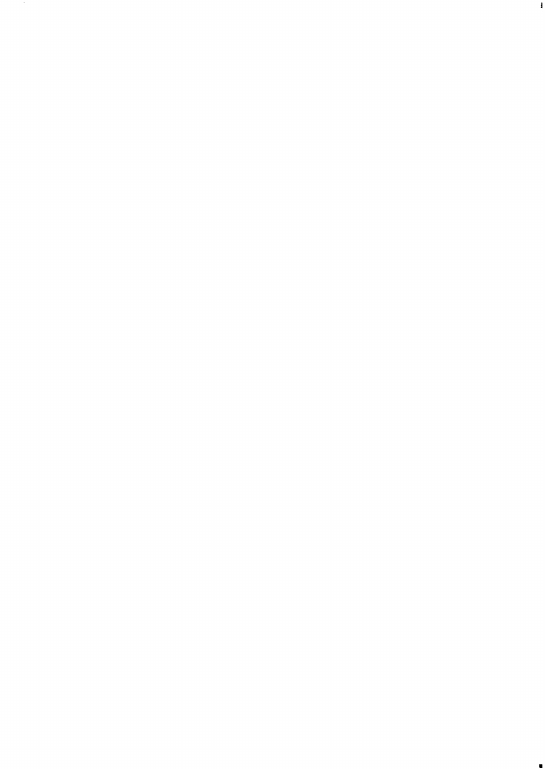$\pmb{\mathsf{I}}$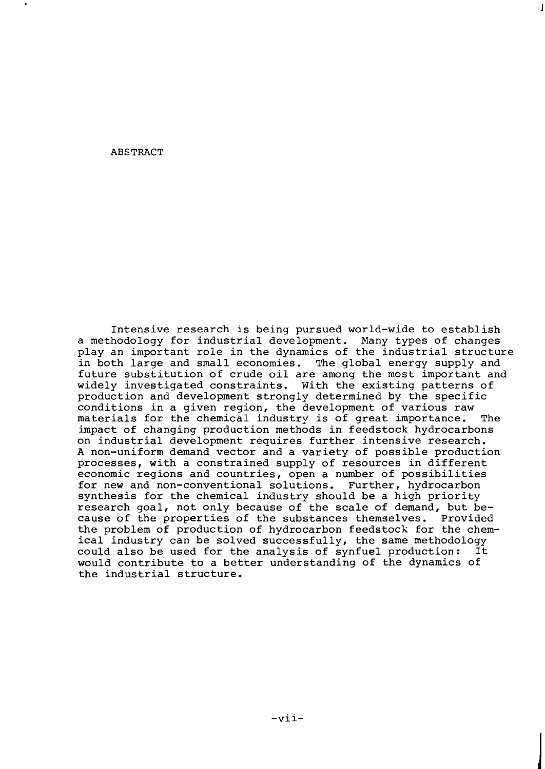ABSTRACT

Intensive research is being pursued world-wide to establish <sup>a</sup> methodology for industrial development. Many types of changes play an important role in the dynamics of the industrial structure in both large and small economies. The global energy supply and future substitution of crude oil are among the most important and widely investigated constraints. With the existing patterns of production and development strongly determined by the specific conditions in a given region, the development of various raw materials for the chemical industry is of great importance. The impact of changing production methods in feedstock hydrocarbons on industrial development requires further intensive research. A non-uniform demand vector and a variety of possible production processes, with <sup>a</sup> constrained supply of resources in different economic regions and countries, open <sup>a</sup> number of possibilities for new and non-conventional solutions. Further, hydrocarbon synthesis for the chemical industry should be <sup>a</sup> high priority research goal, not only because of the scale of demand, but because of the properties of the substances themselves. Provided the problem of production of hydrocarbon feedstock for the chemical industry can be solved successfully, the same methodology could also be used for the analysis of synfuel production: It would contribute to <sup>a</sup> better understanding of the dynamics of the industrial structure.

.1

J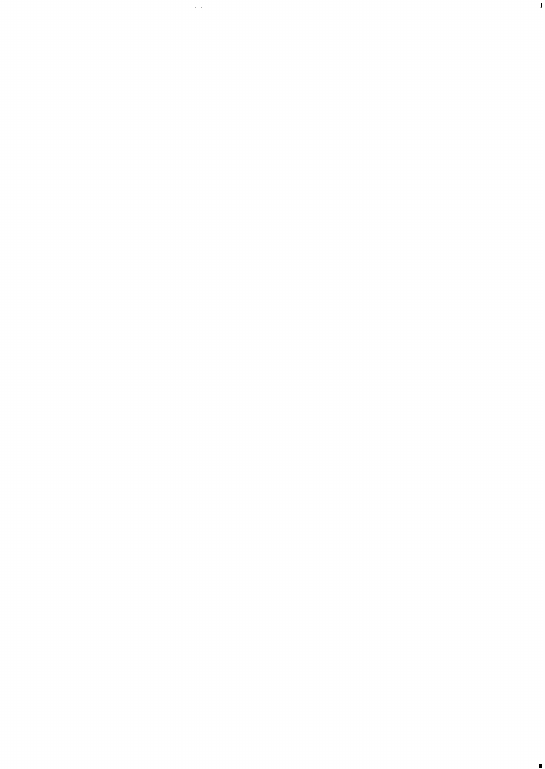$\pmb{\mathsf{l}}$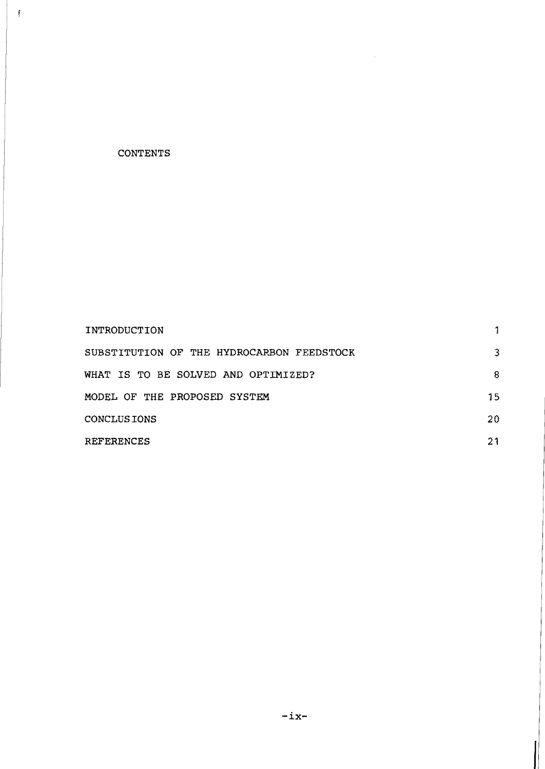# CONTENTS

 $\int$ 

| INTRODUCTION                              |     |
|-------------------------------------------|-----|
| SUBSTITUTION OF THE HYDROCARBON FEEDSTOCK | 3   |
| WHAT IS TO BE SOLVED AND OPTIMIZED?       | 8   |
| MODEL OF THE PROPOSED SYSTEM              | 15. |
| CONCLUS IONS                              | 20  |
| REFERENCES                                | 21  |

 $\sim 10$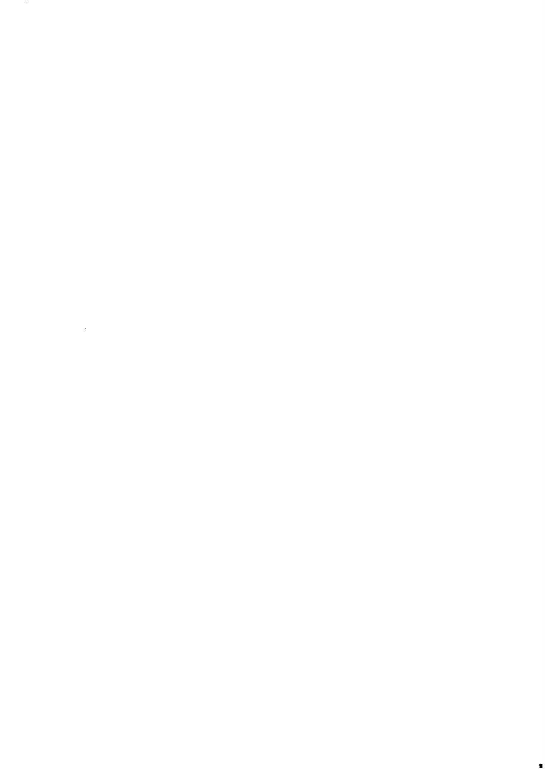$\mathcal{F}_\mathrm{c}$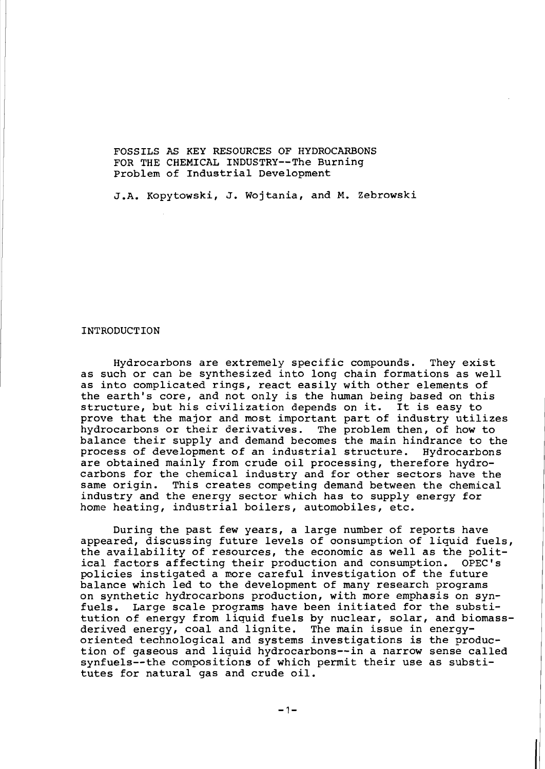FOSSILS AS KEY RESOURCES OF HYDROCARBONS FOR THE CHEMICAL INDUSTRY--The Burning Problem of Industrial Development

J.A. Kopytowski, J. Wojtania, and M. Zebrowski

### INTRODUCTION

Hydrocarbons are extremely specific compounds. They exist as such or can be synthesized into long chain formations as well as into complicated rings, react easily with other elements of the earth's core, and not only is the human being based on this structure, but his civilization depends on it. It is easy to prove that the major and most important part of industry utilizes hydrocarbons or their derivatives. The problem then, of how to balance their supply and demand becomes the main hindrance to the process of development of an industrial structure. Hydrocarbons are obtained mainly from crude oil processing, therefore hydrocarbons for the chemical industry and for other sectors have the same origin. This creates competing demand between the chemical industry and the energy sector which has to supply energy for home heating, industrial boilers, automobiles, etc.

During the past few years, a large number of reports have appeared, discussing future levels of oonsumption of liquid fuels, the availability of resources, the economic as well as the political factors affecting their production and consumption. OPEC's policies instigated a more careful investigation of the future balance which led to the development of many research programs on synthetic hydrocarbons production, with more emphasis on synfuels. Large scale programs have been initiated for the substitution of energy from liquid fuels by nuclear, solar, and biomassderived energy, coal and lignite. The main issue in energyoriented technological and systems investigations is the production of gaseous and liquid hydrocarbons--in a narrow sense called synfuels--the compositions of which permit their use as substitutes for natural gas and crude oil.

 $\parallel$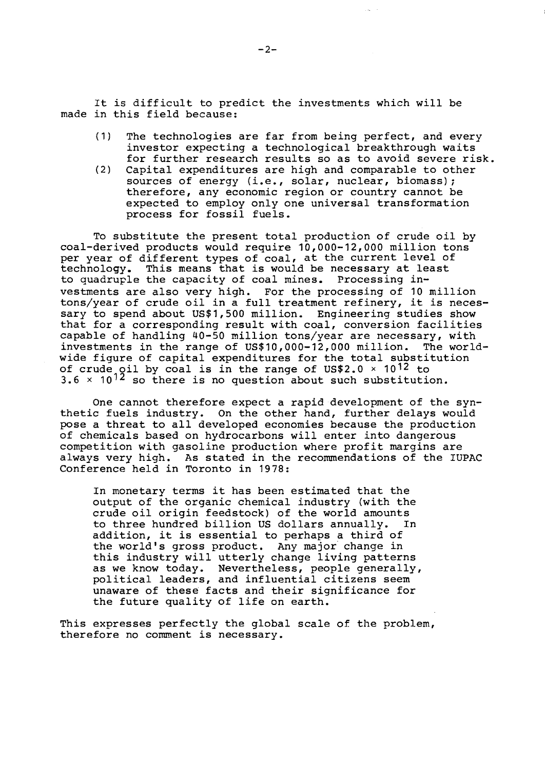It is difficult to predict the investments which will be made in this field because:

- (1) The technologies are far from being perfect, and every investor expecting a technological breakthrough waits for further research results so as to avoid severe risk.
- (2) Capital expenditures are high and comparable to other sources of energy (i.e., solar, nuclear, biomass); therefore, any economic region or country cannot be expected to employ only one universal transformation process for fossil fuels.

To substitute the present total production of crude oil by coal-derived products would require 10,000-12,000 million tons per year of different types of coal, at the current level of technology. This means that is would be necessary at least<br>to quadruple the capacity of coal mines. Processing into quadruple the capacity of coal mines. vestments are also very high. For the processing of 10 million tons/year of crude oil in <sup>a</sup> full treatment refinery, it is necessary to spend about US\$1,500 million. Engineering studies show that for <sup>a</sup> corresponding result with coal, conversion facilities capable of handling 40-50 million tons/year are necessary, with investments in the range of US\$10,000-12,000 million. The worldwide figure of capital expenditures for the total substitution of crude oil by coal is in the range of  $US$2.0 \times 10^{12}$  to 3.6  $\times$  10<sup>12</sup> so there is no question about such substitution.

One cannot therefore expect a rapid development of the synthetic fuels industry. On the other hand, further delays would pose <sup>a</sup> threat to all developed economies because the production of chemicals based on hydrocarbons will enter into dangerous competition with gasoline production where profit margins are always very high. As stated in the recommendations of the IUPAC Conference held in Toronto in 1978:

In monetary terms it has been estimated that the output of the organic chemical industry (with the crude oil origin feedstock) of the world amounts<br>to three hundred billion US dollars annually. In to three hundred billion US dollars annually. addition, it is essential to perhaps <sup>a</sup> third of the world's gross product. Any major- change in this industry will utterly change living patterns as we know today. Nevertheless, people generally, political leaders, and influential citizens seem unaware of these facts and their significance for the future quality of life on earth.

This expresses perfectly the global scale of the problem, therefore no comment is necessary.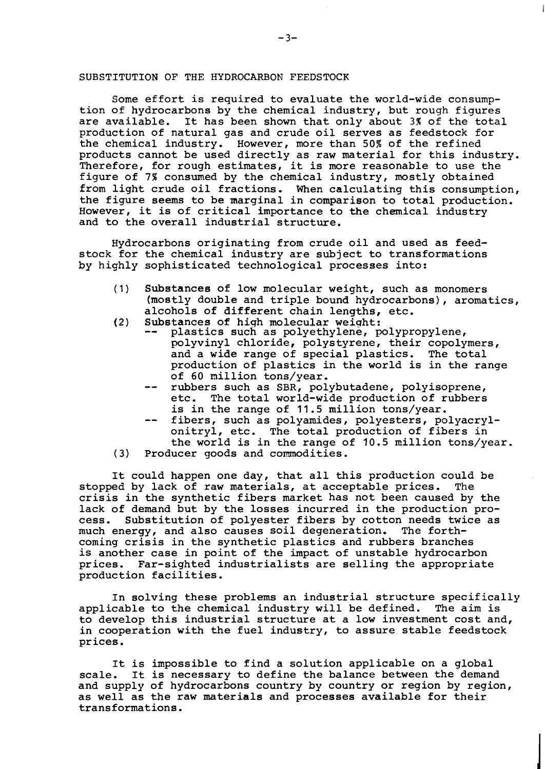### SUBSTITUTION OF THE HYDROCARBON FEEDSTOCK

Some effort is required to evaluate the world-wide consumption of hydrocarbons by the chemical industry, but rough figures are available. It has been shown that only about 3% of the total production of natural gas and crude oil serves as feedstock for the chemical industry. However, more than 50% of the refined products cannot be used directly as raw material for this industry. Therefore, for rough estimates, it is more reasonable to use the figure of 7% consumed by the chemical industry, mostly obtained from light crude oil fractions. When calculating this consumption, the figure seems to be marginal in comparison to total production. However, it is of critical importance to the chemical industry and to the overall industrial structure.

Hydrocarbons originating from crude oil and used as feedstock for the chemical industry are subject to transformations by highly sophisticated technological processes into:

- (1) Substances of low molecular weight, such as monomers (mostly double and triple bound hydrocarbons), aromatics, alcohols of different chain lengths, etc.<br>Substances of high molecular weight:
- (2)
	- plastics such as polyethylene, polypropylene, polyvinyl chloride, polystyrene, their copolymers, and <sup>a</sup> wide range of special plastics. The total production of plastics in the world is in the range of 60 million tons/year.
		- rubbers such as SBR, polybutadene, polyisoprene, The total world-wide production of rubbers is in the range of 11.5 million tons/year.
		- fibers, such as polyamides, polyesters, polyacrylonitryl, etc. The total production of fibers in the world is in the range of 10.5 million tons/year.
- $(3)$ Producer goods and commodities.

It could happen one day, that all this production could be ed by lack of raw materials, at acceptable prices. The stopped by lack of raw materials, at acceptable prices. crisis in the synthetic fibers market has not been caused by the lack of demand but by the losses incurred in the production pro-<br>cess. Substitution of polvester fibers by cotton needs twice as Substitution of polyester fibers by cotton needs twice as<br>ergy, and also causes soil degeneration. The forthmuch energy, and also causes soil degeneration. coming crisis in the synthetic plastics and rubbers branches is another case in point of the impact of unstable hydrocarbon<br>prices. Far-sighted industrialists are selling the appropriate Far-sighted industrialists are selling the appropriate production facilities.

In solving these problems an industrial structure specifically<br>cable to the chemical industry will be defined. The aim is applicable to the chemical industry will be defined. to develop this industrial structure at <sup>a</sup> low investment cost and, in cooperation with the fuel industry, to assure stable feedstock prices.

It is impossible to find <sup>a</sup> solution applicable on <sup>a</sup> global scale. It is necessary to define the balance between the demand and supply of hydrocarbons country by country or region by region, as well as the raw materials and processes available for their transformations.

j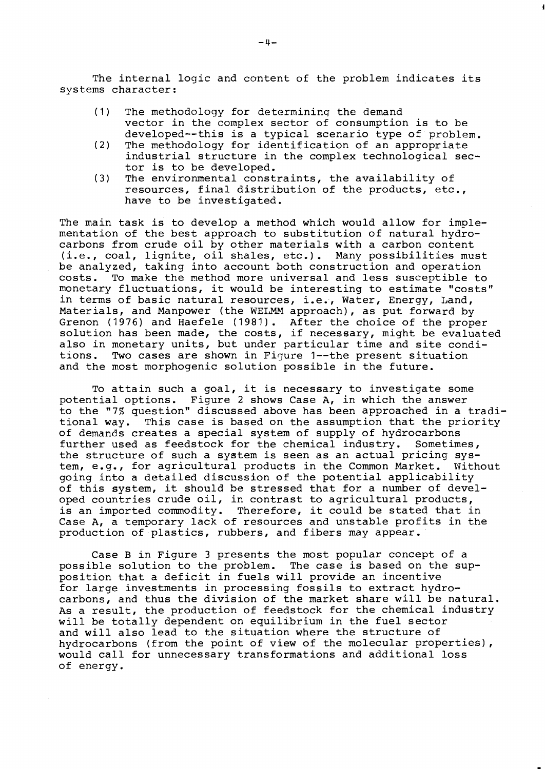The internal logic and content of the problem indicates its systems character:

- (1) The methodology for determininq the demand vector in the complex sector of consumption is to be developed--this is <sup>a</sup> typical scenario type of problem.
- (2) The methodology for identification of an appropriate industrial structure in the complex technological sector is to be developed.
- (3) The environmental constraints, the availability of resources, final distribution of the products, etc., have to be investigated.

The main task is to develop <sup>a</sup> method which would allow for implementation of the best approach to substitution of natural hydrocarbons from crude oil by other materials with <sup>a</sup> carbon content (i.e., coal, lignite, oil shales, etc.). Many possibilities must be analyzed, taking into account both construction and operation<br>costs. To make the method more universal and less susceptible to To make the method more universal and less susceptible to monetary fluctuations, it would be interesting to estimate "costs" in terms of basic natural resources, i.e., Water, Energy, Land, Materials, and Manpower (the WELMM approach), as put forward by Grenon (1976) and Haefele (1981). After the choice of the proper solution has been made, the costs, if necessary, might be evaluated also in monetary units, but under particular time and site conditions. Two cases are shown in Fiqure 1--the present situation and the most morphogenic solution possible in the future.

To attain such <sup>a</sup> goal, it is necessary to investigate some potential options. Figure 2 shows Case A, in which the answer to the "7% question" discussed above has been approached in a tradi-<br>tional way. This case is based on the assumption that the priority This case is based on the assumption that the priority of demands creates a special system of supply of hydrocarbons<br>further used as feedstock for the chemical industry. Sometimes, further used as feedstock for the chemical industry. the structure of such <sup>a</sup> system is seen as an actual pricing system, e.g., for agricultural products in the Common Market. without going into <sup>a</sup> detailed discussion of the potential applicability of this system, it should be stressed that for <sup>a</sup> number of developed countries crude oil, in contrast to agricultural products, is an imported commodity. Therefore, it could be stated that in Case A, <sup>a</sup> temporary lack of resources and unstable profits in the production of plastics, rubbers, and fibers may appear •.

Case B in Figure 3 presents the most popular concept of a possible solution to the problem. The case is based on the supposition that <sup>a</sup> deficit in fuels will provide an incentive for large investments in processing fossils to extract hydrocarbons, and thus the division of the market share will be natural. As <sup>a</sup> result, the production of feedstock for the chemical industry will be totally dependent on equilibrium in the fuel sector and will also lead to the situation where the structure of hydrocarbons (from the point of view of the molecular properties), would call for unnecessary transformations and additional loss of energy.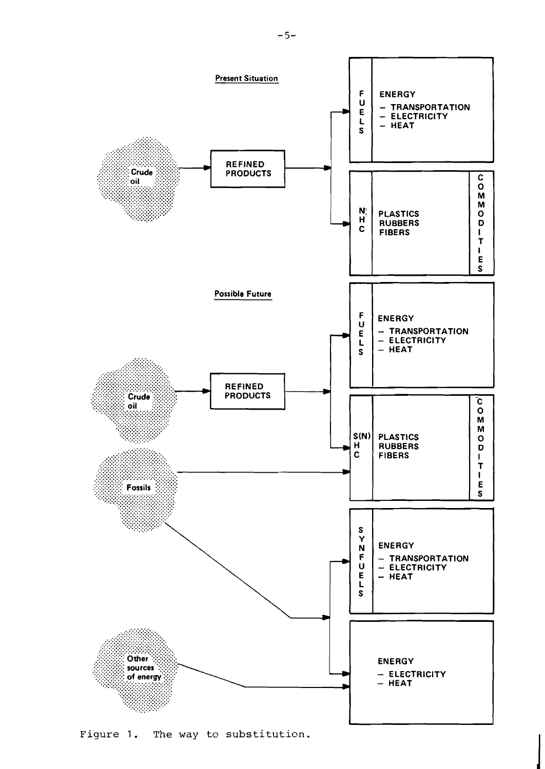

Figure 1. The way to substitution.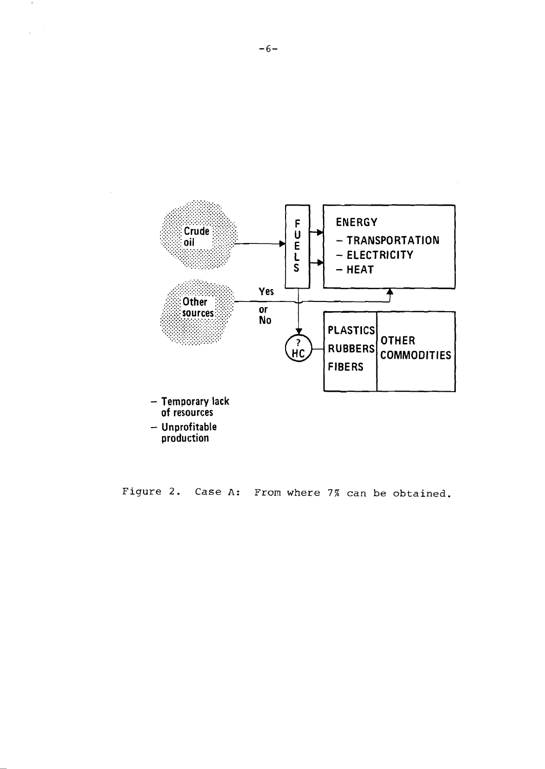

Figure 2. Case A: From where 7% can be obtained.

 $\bar{\beta}$  $\mathbf{r}$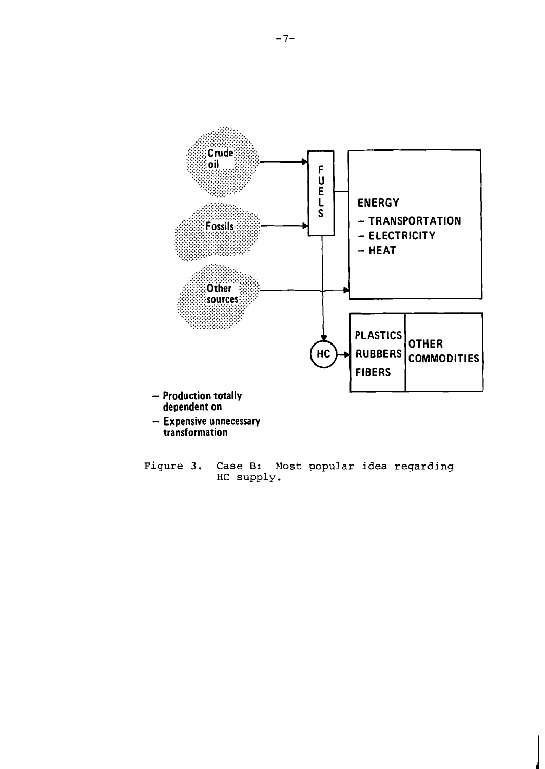

Case B: Most popular idea regarding Figure 3. HC supply.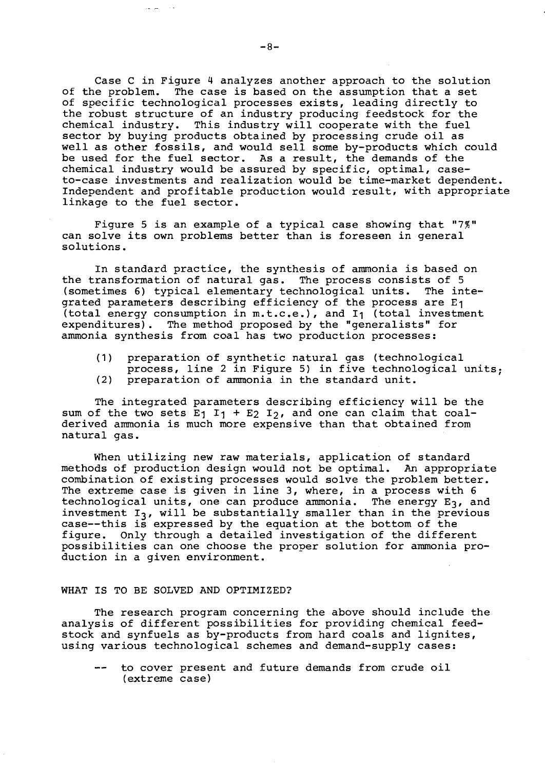Case C in Figure 4 analyzes another approach to the solution of the problem. The case is based on the assumption that <sup>a</sup> set of specific technological processes exists, leading directly to the robust structure of an industry producing feedstock for the chemical industry. This industry will cooperate with the fuel This industry will cooperate with the fuel sector by buying products obtained by processing crude oil as well as other fossils, and would sell some by-products which could be used for the fuel sector. As a result, the demands of the chemical industry would be assured by specific, optimal, caseto-case investments and realization would be time-market dependent. Independent and profitable production would result, with appropriate linkage to the fuel sector.

Figure 5 is an example of a typical case showing that "7%" can solve its own problems better than is foreseen in general solutions.

In standard practice, the synthesis of ammonia is based on the transformation of natural gas. The process consists of 5 (sometimes 6) typical elementary technological units. The integrated parameters describing efficiency of the process are  $E_1$ (total energy consumption in  $m.t.c.e.$ ), and  $I_1$  (total investment expenditures). The method proposed by the "generalists" for expenditures). The method proposed by the "generalists"<br>ammonia synthesis from coal has two production processes:

- (1) preparation of synthetic natural gas (technological process, line <sup>2</sup> in Figure 5) in five technological units;
- (2) preparation of ammonia in the standard unit.

The integrated parameters describing efficiency will be the sum of the two sets  $E_1$  I<sub>1</sub> +  $E_2$  I<sub>2</sub>, and one can claim that coalderived ammonia is much more expensive than that obtained from natural gas.

When utilizing new raw materials, application of standard methods of production design would not be optimal. An appropriate combination of existing processes would solve the problem better. The extreme case is given in line 3, where, in <sup>a</sup> process with <sup>6</sup> technological units, one can produce ammonia. The energy  $E_3$ , and investment  $I_3$ , will be substantially smaller than in the previous case--this is expressed by the equation at the bottom of the figure. Only through <sup>a</sup> detailed investigation of the different possibilities can one choose the proper solution for ammonia production in a given environment.

#### WHAT IS TO BE SOLVED AND OPTIMIZED?

The research program concerning the above should include the analysis of different possibilities for providing chemical feedstock and synfuels as by-products from hard coals and lignites, using various technological schemes and demand-supply cases:

to cover present and future demands from crude oil (extreme case)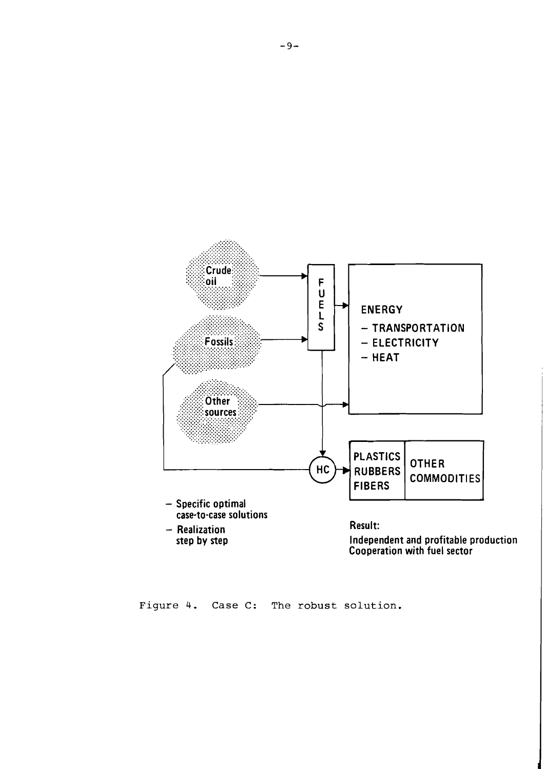

Figure 4. Case C: The robust solution.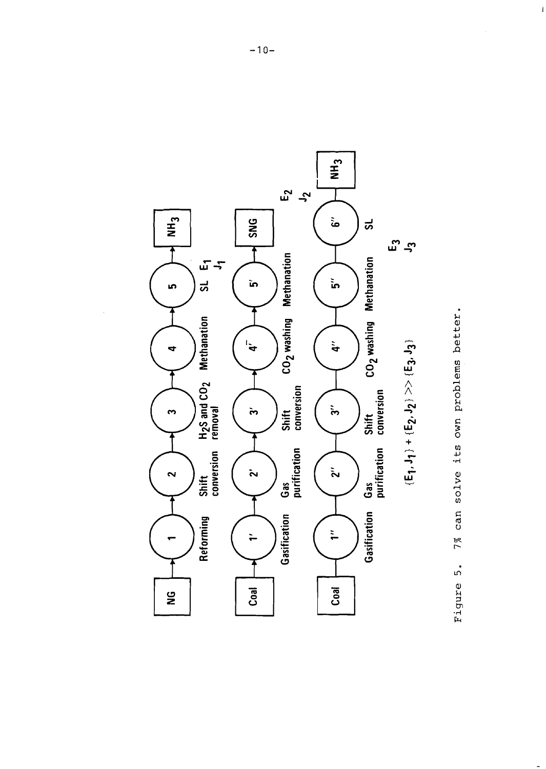

7% can solve its own problems better. Figure 5. 7% can solve its own problems better.Figure 5.

 $\bar{1}$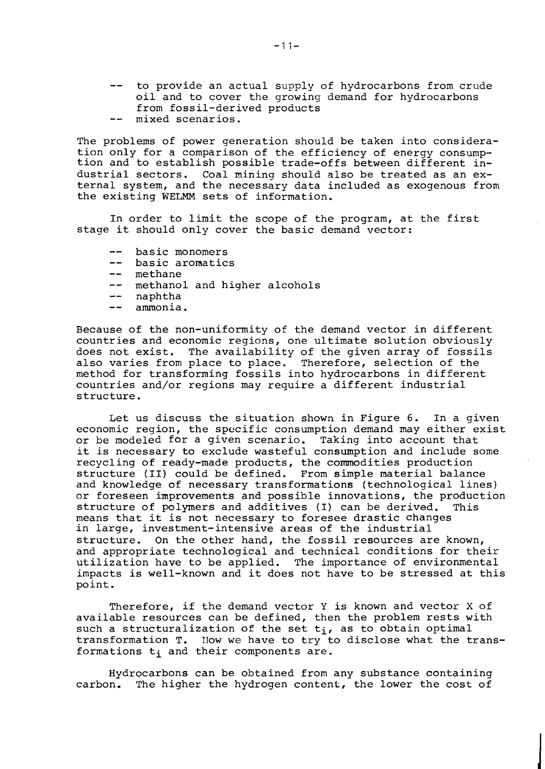-- to provide an actual supply of hydrocarbons from crude oil and to cover the growing demand for hydrocarbons from fossil-derived products mixed scenarios.

The problems of power generation should be taken into consideration only for a comparison of the efficiency of energy consumption and to establish possible trade-offs between different industrial sectors. Coal mining should also be treated as an external system, and the necessary data included as exogenous from the existing WELMM sets of information.

In order to limit the scope of the program, at the first stage it should only cover the basic demand vector:

- $\frac{1}{2}$ basic monomers
- $$ basic aromatics
- methane  $\frac{1}{2}$
- methanol and higher alcohols
- -- naphtha
- ammonia.

Because of the non-uniformity of the demand vector in different countries and economic regions, one ultimate solution obviously<br>does not exist. The availability of the given array of fossils The availability of the given array of fossils also varies from place to place. Therefore, selection of the method for transforming fossils into hydrocarbons in different countries and/or regions may require <sup>a</sup> different industrial structure.

Let us discuss the situation shown in Figure 6. In a given economic region, the specific consumption demand may either exist or be modeled for a given scenario. Taking into account that it is necessary to exclude wasteful consumption and include some recycling of ready-made products, the commodities production structure (II) could be defined. From simple material balance and knowledge of necessary transformations (technological lines) or foreseen improvements and possible innovations, the production structure of polymers and additives (I) can be derived. This structure of polymers and additives (I) can be derived. structure or polymers and additives (1) can be derived.<br>means that it is not necessary to foresee drastic changes in large, investment-intensive areas of the industrial structure. On the other hand, the fossil resources are known, and appropriate technological and technical conditions for their utilization have to be applied. The importance of environmental impacts is well-known and it does not have to be stressed at this point.

Therefore, if the demand vector <sup>Y</sup> is known and vector <sup>X</sup> of available resources can be defined, then the problem rests with such a structuralization of the set  $t_i$ , as to obtain optimal transformation T. Now we have to try to disclose what the transformations  $t_i$  and their components are.

Hydrocarbons can be obtained from any substance oontaining carbon. The higher the hydrogen content, the lower the cost of

J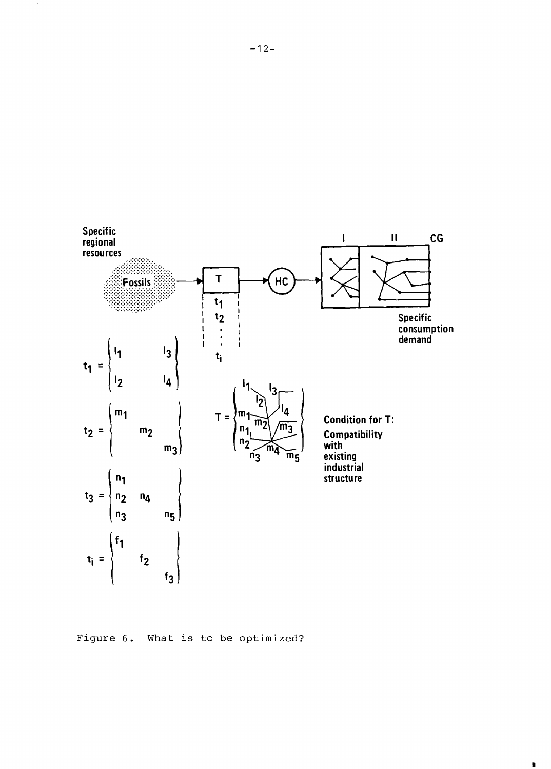

•

Figure 6. What is to be optimized?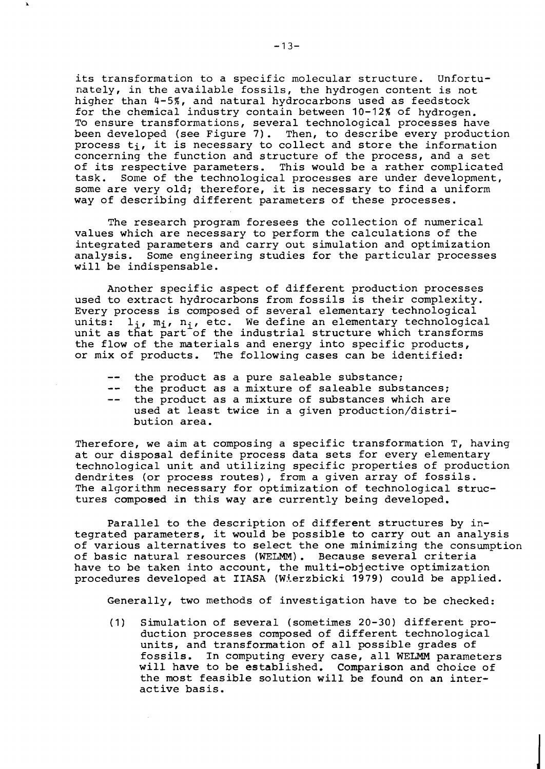its transformation to <sup>a</sup> specific molecular structure. Unfortunately, in the available fossils, the hydrogen content is not higher than 4-5%, and natural hydrocarbons used as feedstock for the chemical industry contain between 10-12% of hydrogen. To ensure transformations, several technological processes have been developed (see Figure 7). Then, to describe every production process  $t_i$ , it is necessary to collect and store the information concerning the function and structure of the process, and <sup>a</sup> set of its respective parameters. This would be <sup>a</sup> rather complicated task. Some of the technological processes are under development, some are very old; therefore, it is necessary to find <sup>a</sup> uniform way of describing different parameters of these processes.

The research program foresees the collection of numerical values which are necessary to perform the calculations of the integrated parameters and carry out simulation and optimization analysis. Some engineering studies for the particular processes will be indispensable.

Another specific aspect of different production processes used to extract hydrocarbons from fossils is their complexity. Every process is composed of several elementary technological Every process is composed of several elementary technological<br>units:  $l_j$ ,  $m_j$ ,  $n_j$ , etc. We define an elementary technological unit as that part of the industrial structure which transforms the flow of the materials and energy into specific products, or mix of products. The following cases can be identified:

- the product as a pure saleable substance;  $\overline{\phantom{a}}$
- -- the product as a mixture of saleable substances;
- the product as a mixture of substances which are  $--$ used at least twice in <sup>a</sup> given production/distribution area.

Therefore, we aim at composing <sup>a</sup> specific transformation T, having at our disposal definite process data sets for every elementary technological unit and utilizing specific properties of production dendrites (or process routes), from <sup>a</sup> given array of fossils. The algorithm necessary for optimization of technological structures composed in this way are currently being developed.

Parallel to the description of different structures by integrated parameters, it would be possible to carry out an analysis of various alternatives to select the one minimizing the consumption of basic natural resources (WELMM). Because several criteria have to be taken into account, the multi-objective optimization procedures developed at IIASA (Wierzbicki 1979) could be applied.

Generally, two methods of investigation have to be checked:

(1) Simulation of several (sometimes 20-30) different production processes composed of different technological units, and transformation of all possible grades of fossils. In computing every case, all WELMM parameters will have to be established. Comparison and choice of the most feasible solution will be found on an interactive basis.

j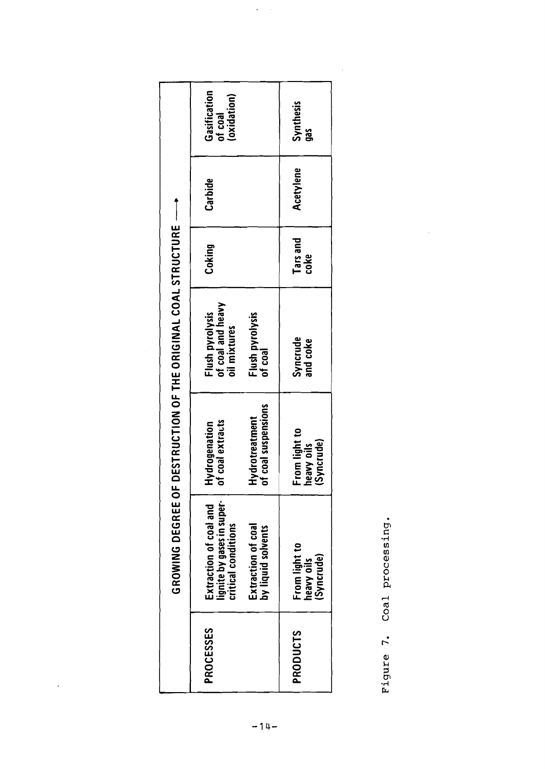|                                                 | Gasification<br>(oxidation)<br>of coal                                                                                        | Synthesis<br>gas<br>Acetylene             |
|-------------------------------------------------|-------------------------------------------------------------------------------------------------------------------------------|-------------------------------------------|
|                                                 | Carbide                                                                                                                       |                                           |
|                                                 | Coking                                                                                                                        | Tars and<br>coke                          |
| F DESTRUCTION OF THE ORIGINAL COAL STRUCTURE -- | Flush pyrolysis<br>of coal and heavy<br>oil mixtures<br>Flush pyrolysis<br>of coal                                            | Syncrude<br>and coke                      |
|                                                 | of coal suspensions<br>Hydrotreatment<br>of coal extracts<br>Hydrogenation                                                    | From light to<br>(Syncrude)<br>heavy oils |
| GROWING DEGREE OI                               | lignite by gases in super-<br>Extraction of coal and<br>Extraction of coal<br><b>xitical conditions</b><br>by liquid solvents | From light to<br>heavy oils<br>(Syncrude) |
|                                                 | PROCESSES                                                                                                                     | PRODUCTS                                  |

 $\frac{1}{2} \left( \frac{1}{2} \right)$ 

 $\ddot{\phantom{0}}$ 

Figure 7. Coal processing. Figure 7. Coal processing.

 $\hat{\mathcal{J}}$ 

 $\ddot{\phantom{0}}$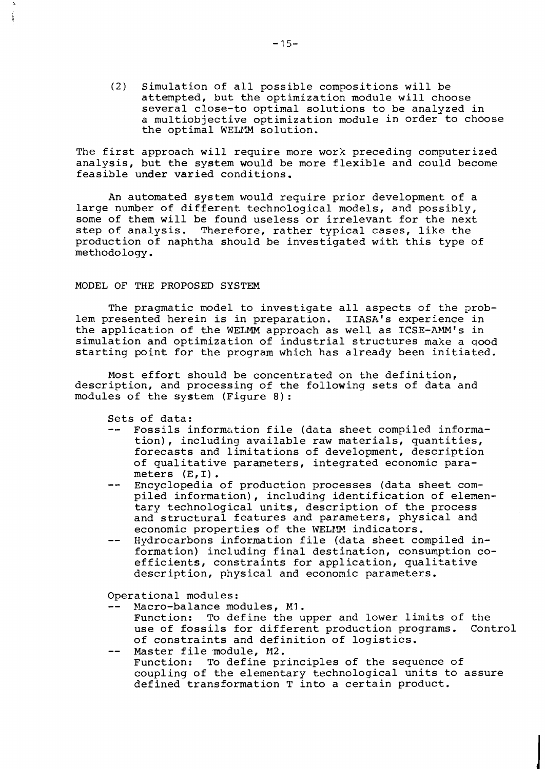(2) Simulation of all possible compositions will be attempted, but the optimization module will choose several close-to optimal solutions to be analyzed in a multiobjective optimization module in order to choose the optimal WELMM solution.

The first approach will require more work preceding computerized analysis, but the system would be more flexible and could become feasible under varied conditions.

An automated system would require prior development of a large number of different technological models, and possibly, some of them will be found useless or irrelevant for the next step of analysis. Therefore, rather typical cases, like the production of naphtha should be investigated with this type of methodology.

### MODEL OF THE PROPOSED SYSTEM

The pragmatic model to investigate all aspects of the  $prob$ lem presented herein is in preparation. IIASA's experience in the application of the WELMM approach as well as ICSE-AMM's in simulation and optimization of industrial structures make <sup>a</sup> qood starting point for the program which has already been initiated.

Most effort should be concentrated on the definition, description, and processing of the following sets of data and modules of the system (Figure 8):

Sets of data:

- Fossils inform&tion file (data sheet compiled information), including available raw materials, quantities, forecasts and limitations of development, description of qualitative parameters, integrated economic parameters  $(E,I)$ .
- Encyclopedia of production processes (data sheet compiled information), including identification of elementary technological units, description of the process and structural features and parameters, physical and economic properties of the WELMM indicators.
- Hydrocarbons information file (data sheet compiled information) including final destination, consumption coefficients, constraints for application, qualitative description, physical and economic parameters.

Operational modules:

- Macro-balance modules, M1.<br>Function: To define the u Function: To define the upper and lower limits of the use of fossils for different production programs. Control of constraints and definition of logistics.
- Master file module, M2.<br>Function: To define pr To define principles of the sequence of coupling of the elementary technological units to assure defined transformation <sup>T</sup> into <sup>a</sup> certain product.

j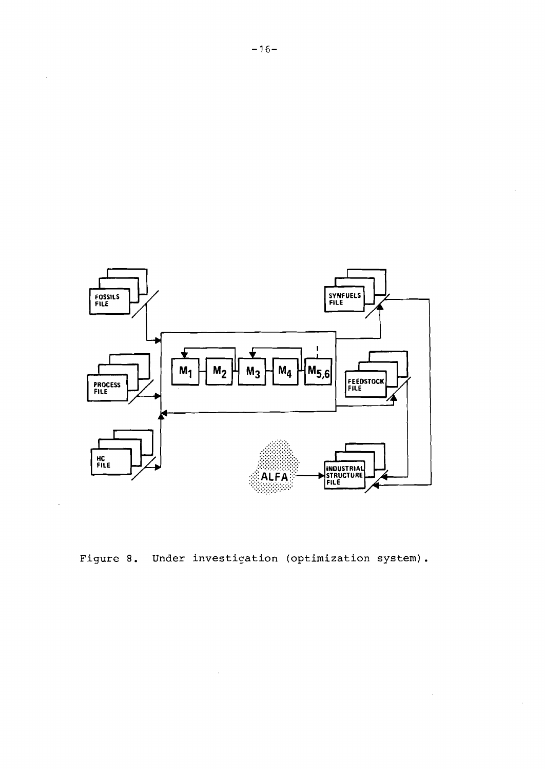

Figure 8. Under investigation (optimization system).

 $\bar{z}$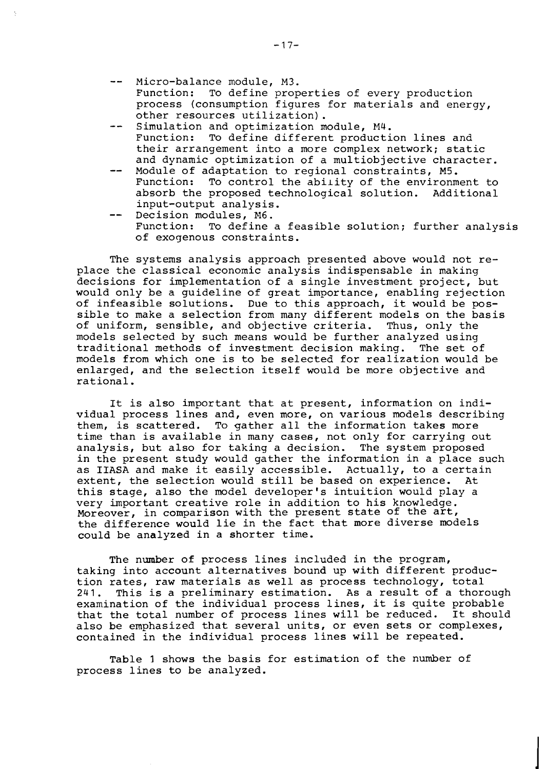Micro-balance module, M3.<br>Function: To define prop

To define properties of every production process (consumption figures for materials and energy, other resources utilization).

- Simulation and optimization module,  $M4$ .<br>Function: To define different producti To define different production lines and their arrangement into <sup>a</sup> more complex network; static and dynamic optimization of a multiobjective character.
- Module of adaptation to regional constraints, M5.<br>Function: To control the ability of the environm To control the ability of the environment to absorb the proposed technological solution. Additional input-output analysis.
- Decision modules, M6.<br>Function: To define To define a feasible solution; further analysis of exogenous constraints.

The systems analysis approach presented above would not replace the classical economic analysis indispensable in making decisions for implementation of a single investment project, but would only be a guideline of great importance, enabling rejection of infeasible solutions. Due to this approach, it would be possible to make a selection from many different models on the basis<br>of uniform, sensible, and objective criteria. Thus, only the of uniform, sensible, and objective criteria. models selected by such means would be further analyzed using traditional methods of investment decision making. The set of models from which one is to be selected for realization would be enlarged, and the selection itself would be more objective and rational.

It is also important that at present, information on individual process lines and, even more, on various models describing them, is scattered. To gather all the information takes more time than is available in many cases, not only for carrying out analysis, but also for taking a decision. The system proposed analysis, but also for taking a decision. in the present study would gather the information in a place such as IIASA and make it easily accessible. Actually, to a certain<br>extent, the selection would still be based on experience. At extent, the selection would still be based on experience. this stage, also the model developer's intuition would playa very important creative role in addition to his knowledge. very important creative fore in addition to his knowledge.<br>Moreover, in comparison with the present state of the art, the difference would lie in the fact that more diverse models could be analyzed in a shorter time.

The number of process lines included in the program, taking into account alternatives bound up with different production rates, raw materials as well as process technology, total<br>241. This is a preliminary estimation. As a result of a thore This is a preliminary estimation. As a result of a thorough examination of the individual process lines, it is quite probable that the total number of process lines will be reduced. It should also be emphasized that several units, or even sets or complexes, contained in the individual process lines will be repeated.

 $\overline{\phantom{a}}$ 

Table 1 shows the basis for estimation of the number of process lines to be analyzed.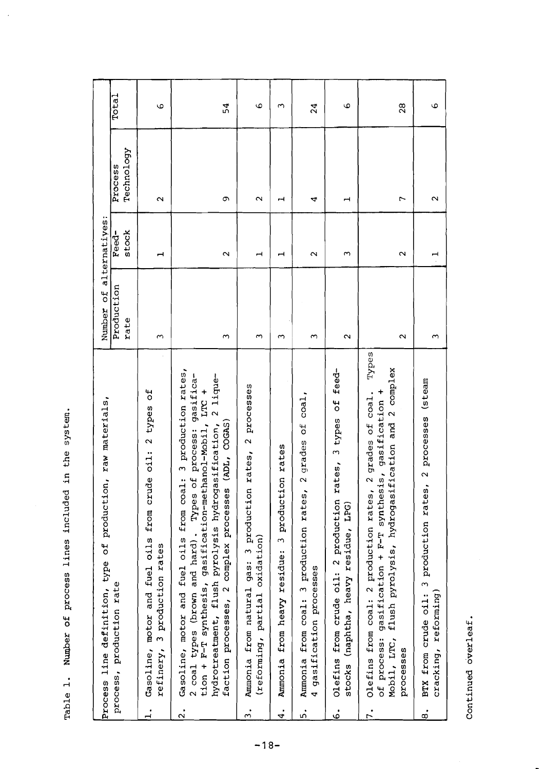Table 1. Number of process lines included in the system. Table 1. Number of process lines included in the system.

|                          | Process line definition, type of production, raw materials,                                                                                                                                                                                                                                                                                                                 | Number of alternatives: |                          |                       |                |
|--------------------------|-----------------------------------------------------------------------------------------------------------------------------------------------------------------------------------------------------------------------------------------------------------------------------------------------------------------------------------------------------------------------------|-------------------------|--------------------------|-----------------------|----------------|
|                          | process, production rate                                                                                                                                                                                                                                                                                                                                                    | Production<br>rate      | stock<br>Feed-           | Technology<br>Process | Total          |
| $\overline{\phantom{0}}$ | Gasoline, motor and fuel oils from crude oil: 2 types of<br>refinery, 3 production rates                                                                                                                                                                                                                                                                                    | ς                       |                          | $\mathbf{\hat{c}}$    | $\mathbf 0$    |
| $\overline{2}$ .         | production rates,<br>2 lique-<br>gasifica-<br>$TTC$ +<br>(ADL, COGAS)<br>hydrotreatment, flush pyrolysis hydrogasification,<br>tion + F-T synthesis, gasification-methanol-Mobil,<br>process:<br>$\tilde{\mathcal{E}}$<br>$\frac{4}{5}$<br><br>Gasoline, motor and fuel oils from coal<br>faction processes, 2 complex processes<br>Types<br>2 coal types (brown and hard). | Μ                       | $\sim$                   | c                     | 54             |
| .,                       | processes<br>rates, 2<br>Ammonia from natural gas: 3 production<br>(reforming, partial oxidation)                                                                                                                                                                                                                                                                           | $\sim$                  | $\mathbf -$              | $\mathbf{\Omega}$     | $\ddot{\circ}$ |
| $\ddot{4}$ .             | Ammonia from heavy residue: 3 production rates                                                                                                                                                                                                                                                                                                                              | ς                       | ᆏ                        | ᆋ                     | 3              |
| <u>ທີ່</u>               | 2 grades of coal,<br>Ammonia from coal: 3 production rates,<br>gasification processes<br>4                                                                                                                                                                                                                                                                                  | $\sim$                  | $\mathbf{\Omega}$        | 4                     | 24             |
| <u>، ما</u>              | Olefins from crude oil: 2 production rates, 3 types of feed-<br>stocks (naphtha, heavy residue, LPG)                                                                                                                                                                                                                                                                        | $\mathbf{\Omega}$       | S                        | ⊣                     | $\circ$        |
| $\overline{7}$ .         | Types<br>Mobil, LTC, flush pyrolysis, hydrogasification and 2 complex<br>of process: gasification + F-T synthesis, gasification +<br>2 grades of coal.<br>Olefins from coal: 2 production rates,<br>processes                                                                                                                                                               | $\mathbf{\Omega}$       | $\mathbf{\Omega}$        | 7                     | 28             |
| $\dot{\mathbf{e}}$       | 2 processes (steam<br>3 production rates,<br>cracking, reforming)<br>BTX from crude oil:                                                                                                                                                                                                                                                                                    | Μ                       | $\overline{\phantom{0}}$ | $\sim$                | $\circ$        |

Continued overleaf. Continued overleaf.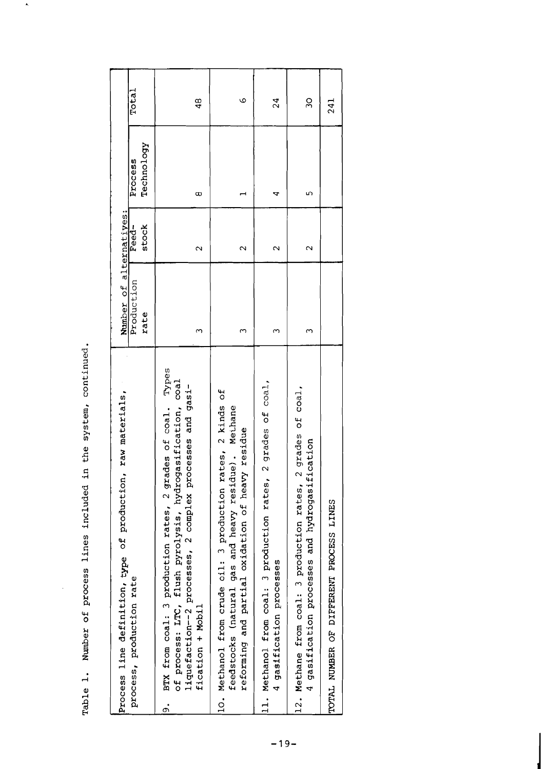Table 1. Number of process lines included in the system, continued. Table 1. Number of process lines included in the system, continued.

 $\overline{\phantom{a}}$ 

 $\tilde{\textbf{A}}$ 

| raw materials,<br>Process line definition, type of production,                                                                                                                                     | Number of alternatives: |                          |            |                |
|----------------------------------------------------------------------------------------------------------------------------------------------------------------------------------------------------|-------------------------|--------------------------|------------|----------------|
| process, production rate                                                                                                                                                                           | Production              | Feed-                    | Process    | Total          |
|                                                                                                                                                                                                    | rate                    | stock                    | Technology |                |
| BTX from coal: 3 production rates, 2 grades of coal. Types<br>of process: LTC, flush pyrolysis, hydrogasification, coal<br>liquefaction -- 2 processes, 2 complex processes and gasi-<br><u>്ര</u> |                         |                          |            |                |
| fication + Mobil                                                                                                                                                                                   |                         | $\sim$                   | $\infty$   | $\frac{48}{3}$ |
| tes, 2 kinds of<br>feedstocks (natural gas and heavy residue). Meihane<br>residue<br>10. Methanol from crude oil: 3 production ra<br>reforming and partial oxidation of heavy                      |                         | $\overline{\mathcal{C}}$ |            | $\circ$        |
| 2 grades of coal,<br>11. Methanol from coal: 3 production rates,<br>4 gasification processes                                                                                                       | Μ                       | $\mathbf{\tilde{c}}$     | 4          | 24             |
| grades of coal,<br>cation<br>12. Methane from coal: 3 production rates, 2<br>4 gasification processes and hydrogasifi                                                                              | ω                       | $\mathbf{\mathsf{C}}$    | ۱∩         | <b>SC</b>      |
| TOTAL NUMBER OF DIFFERENT PROCESS LINES                                                                                                                                                            |                         |                          |            | 241            |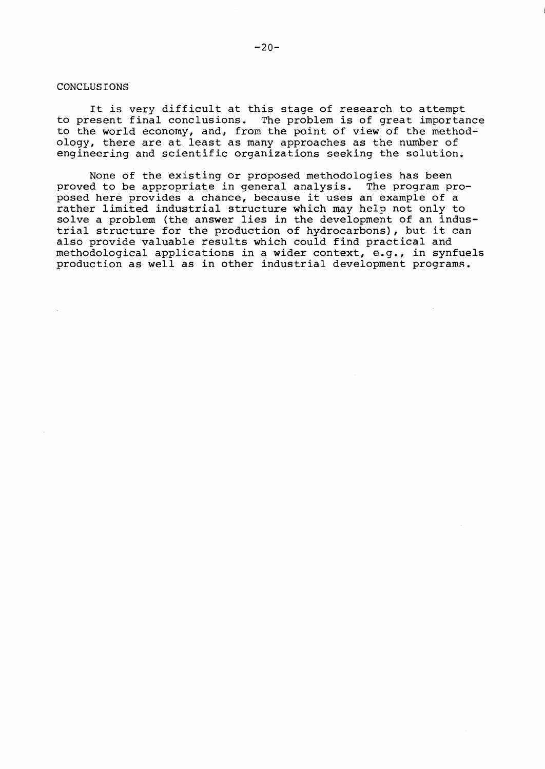## CONCLUSIONS

It is very difficult at this stage of research to attempt to present final conclusions. The problem is of great importance to the world economy, and, from the point of view of the methodology, there are at least as many approaches as the number of engineering and scientific organizations seeking the solution.

None of the existing or proposed methodologies has been proved to be appropriate in general analysis. The program proposed here provides <sup>a</sup> chance, because it uses an example of <sup>a</sup> rather limited industrial structure which may help not only to solve <sup>a</sup> problem (the answer lies in the development of an industrial structure for the production of hydrocarbons), but it can also provide valuable results which could find practical and methodological applications in <sup>a</sup> wider context, e.g., in synfuels production as well as in other industrial development programs.